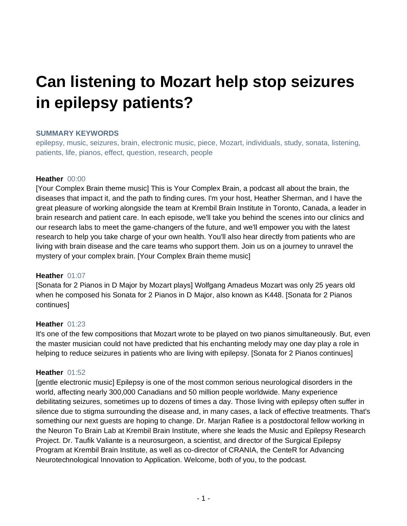# **Can listening to Mozart help stop seizures in epilepsy patients?**

#### **SUMMARY KEYWORDS**

epilepsy, music, seizures, brain, electronic music, piece, Mozart, individuals, study, sonata, listening, patients, life, pianos, effect, question, research, people

#### **Heather** 00:00

[Your Complex Brain theme music] This is Your Complex Brain, a podcast all about the brain, the diseases that impact it, and the path to finding cures. I'm your host, Heather Sherman, and I have the great pleasure of working alongside the team at Krembil Brain Institute in Toronto, Canada, a leader in brain research and patient care. In each episode, we'll take you behind the scenes into our clinics and our research labs to meet the game-changers of the future, and we'll empower you with the latest research to help you take charge of your own health. You'll also hear directly from patients who are living with brain disease and the care teams who support them. Join us on a journey to unravel the mystery of your complex brain. [Your Complex Brain theme music]

#### **Heather** 01:07

[Sonata for 2 Pianos in D Major by Mozart plays] Wolfgang Amadeus Mozart was only 25 years old when he composed his Sonata for 2 Pianos in D Major, also known as K448. [Sonata for 2 Pianos continues]

#### **Heather** 01:23

It's one of the few compositions that Mozart wrote to be played on two pianos simultaneously. But, even the master musician could not have predicted that his enchanting melody may one day play a role in helping to reduce seizures in patients who are living with epilepsy. [Sonata for 2 Pianos continues]

# **Heather** 01:52

[gentle electronic music] Epilepsy is one of the most common serious neurological disorders in the world, affecting nearly 300,000 Canadians and 50 million people worldwide. Many experience debilitating seizures, sometimes up to dozens of times a day. Those living with epilepsy often suffer in silence due to stigma surrounding the disease and, in many cases, a lack of effective treatments. That's something our next guests are hoping to change. Dr. Marjan Rafiee is a postdoctoral fellow working in the Neuron To Brain Lab at Krembil Brain Institute, where she leads the Music and Epilepsy Research Project. Dr. Taufik Valiante is a neurosurgeon, a scientist, and director of the Surgical Epilepsy Program at Krembil Brain Institute, as well as co-director of CRANIA, the CenteR for Advancing Neurotechnological Innovation to Application. Welcome, both of you, to the podcast.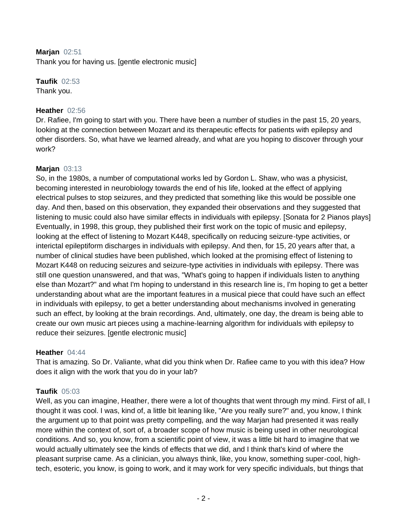## **Marjan** 02:51

Thank you for having us. [gentle electronic music]

# **Taufik** 02:53

Thank you.

# **Heather** 02:56

Dr. Rafiee, I'm going to start with you. There have been a number of studies in the past 15, 20 years, looking at the connection between Mozart and its therapeutic effects for patients with epilepsy and other disorders. So, what have we learned already, and what are you hoping to discover through your work?

# **Marjan** 03:13

So, in the 1980s, a number of computational works led by Gordon L. Shaw, who was a physicist, becoming interested in neurobiology towards the end of his life, looked at the effect of applying electrical pulses to stop seizures, and they predicted that something like this would be possible one day. And then, based on this observation, they expanded their observations and they suggested that listening to music could also have similar effects in individuals with epilepsy. [Sonata for 2 Pianos plays] Eventually, in 1998, this group, they published their first work on the topic of music and epilepsy, looking at the effect of listening to Mozart K448, specifically on reducing seizure-type activities, or interictal epileptiform discharges in individuals with epilepsy. And then, for 15, 20 years after that, a number of clinical studies have been published, which looked at the promising effect of listening to Mozart K448 on reducing seizures and seizure-type activities in individuals with epilepsy. There was still one question unanswered, and that was, "What's going to happen if individuals listen to anything else than Mozart?" and what I'm hoping to understand in this research line is, I'm hoping to get a better understanding about what are the important features in a musical piece that could have such an effect in individuals with epilepsy, to get a better understanding about mechanisms involved in generating such an effect, by looking at the brain recordings. And, ultimately, one day, the dream is being able to create our own music art pieces using a machine-learning algorithm for individuals with epilepsy to reduce their seizures. [gentle electronic music]

# **Heather** 04:44

That is amazing. So Dr. Valiante, what did you think when Dr. Rafiee came to you with this idea? How does it align with the work that you do in your lab?

# **Taufik** 05:03

Well, as you can imagine, Heather, there were a lot of thoughts that went through my mind. First of all, I thought it was cool. I was, kind of, a little bit leaning like, "Are you really sure?" and, you know, I think the argument up to that point was pretty compelling, and the way Marjan had presented it was really more within the context of, sort of, a broader scope of how music is being used in other neurological conditions. And so, you know, from a scientific point of view, it was a little bit hard to imagine that we would actually ultimately see the kinds of effects that we did, and I think that's kind of where the pleasant surprise came. As a clinician, you always think, like, you know, something super-cool, hightech, esoteric, you know, is going to work, and it may work for very specific individuals, but things that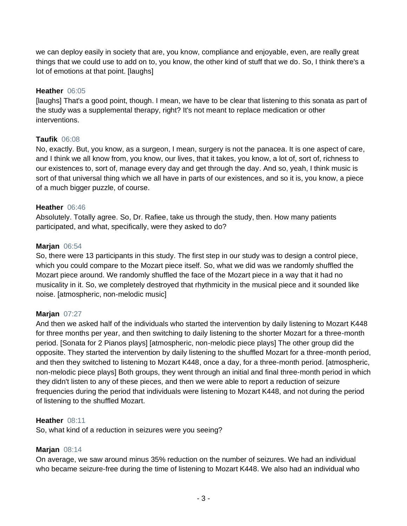we can deploy easily in society that are, you know, compliance and enjoyable, even, are really great things that we could use to add on to, you know, the other kind of stuff that we do. So, I think there's a lot of emotions at that point. [laughs]

#### **Heather** 06:05

[laughs] That's a good point, though. I mean, we have to be clear that listening to this sonata as part of the study was a supplemental therapy, right? It's not meant to replace medication or other interventions.

#### **Taufik** 06:08

No, exactly. But, you know, as a surgeon, I mean, surgery is not the panacea. It is one aspect of care, and I think we all know from, you know, our lives, that it takes, you know, a lot of, sort of, richness to our existences to, sort of, manage every day and get through the day. And so, yeah, I think music is sort of that universal thing which we all have in parts of our existences, and so it is, you know, a piece of a much bigger puzzle, of course.

#### **Heather** 06:46

Absolutely. Totally agree. So, Dr. Rafiee, take us through the study, then. How many patients participated, and what, specifically, were they asked to do?

#### **Marjan** 06:54

So, there were 13 participants in this study. The first step in our study was to design a control piece, which you could compare to the Mozart piece itself. So, what we did was we randomly shuffled the Mozart piece around. We randomly shuffled the face of the Mozart piece in a way that it had no musicality in it. So, we completely destroyed that rhythmicity in the musical piece and it sounded like noise. [atmospheric, non-melodic music]

#### **Marjan** 07:27

And then we asked half of the individuals who started the intervention by daily listening to Mozart K448 for three months per year, and then switching to daily listening to the shorter Mozart for a three-month period. [Sonata for 2 Pianos plays] [atmospheric, non-melodic piece plays] The other group did the opposite. They started the intervention by daily listening to the shuffled Mozart for a three-month period, and then they switched to listening to Mozart K448, once a day, for a three-month period. [atmospheric, non-melodic piece plays] Both groups, they went through an initial and final three-month period in which they didn't listen to any of these pieces, and then we were able to report a reduction of seizure frequencies during the period that individuals were listening to Mozart K448, and not during the period of listening to the shuffled Mozart.

#### **Heather** 08:11

So, what kind of a reduction in seizures were you seeing?

#### **Marjan** 08:14

On average, we saw around minus 35% reduction on the number of seizures. We had an individual who became seizure-free during the time of listening to Mozart K448. We also had an individual who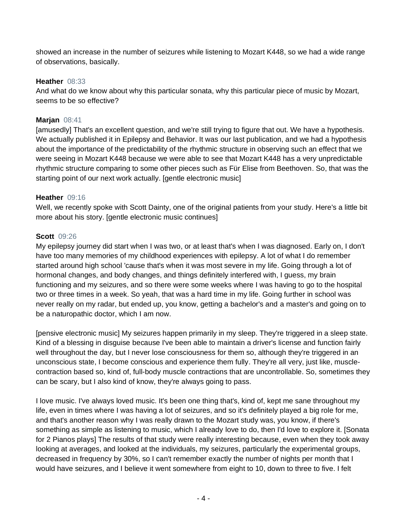showed an increase in the number of seizures while listening to Mozart K448, so we had a wide range of observations, basically.

# **Heather** 08:33

And what do we know about why this particular sonata, why this particular piece of music by Mozart, seems to be so effective?

# **Marjan** 08:41

[amusedly] That's an excellent question, and we're still trying to figure that out. We have a hypothesis. We actually published it in Epilepsy and Behavior. It was our last publication, and we had a hypothesis about the importance of the predictability of the rhythmic structure in observing such an effect that we were seeing in Mozart K448 because we were able to see that Mozart K448 has a very unpredictable rhythmic structure comparing to some other pieces such as Für Elise from Beethoven. So, that was the starting point of our next work actually. [gentle electronic music]

#### **Heather** 09:16

Well, we recently spoke with Scott Dainty, one of the original patients from your study. Here's a little bit more about his story. [gentle electronic music continues]

#### **Scott** 09:26

My epilepsy journey did start when I was two, or at least that's when I was diagnosed. Early on, I don't have too many memories of my childhood experiences with epilepsy. A lot of what I do remember started around high school 'cause that's when it was most severe in my life. Going through a lot of hormonal changes, and body changes, and things definitely interfered with, I guess, my brain functioning and my seizures, and so there were some weeks where I was having to go to the hospital two or three times in a week. So yeah, that was a hard time in my life. Going further in school was never really on my radar, but ended up, you know, getting a bachelor's and a master's and going on to be a naturopathic doctor, which I am now.

[pensive electronic music] My seizures happen primarily in my sleep. They're triggered in a sleep state. Kind of a blessing in disguise because I've been able to maintain a driver's license and function fairly well throughout the day, but I never lose consciousness for them so, although they're triggered in an unconscious state, I become conscious and experience them fully. They're all very, just like, musclecontraction based so, kind of, full-body muscle contractions that are uncontrollable. So, sometimes they can be scary, but I also kind of know, they're always going to pass.

I love music. I've always loved music. It's been one thing that's, kind of, kept me sane throughout my life, even in times where I was having a lot of seizures, and so it's definitely played a big role for me, and that's another reason why I was really drawn to the Mozart study was, you know, if there's something as simple as listening to music, which I already love to do, then I'd love to explore it. [Sonata for 2 Pianos plays] The results of that study were really interesting because, even when they took away looking at averages, and looked at the individuals, my seizures, particularly the experimental groups, decreased in frequency by 30%, so I can't remember exactly the number of nights per month that I would have seizures, and I believe it went somewhere from eight to 10, down to three to five. I felt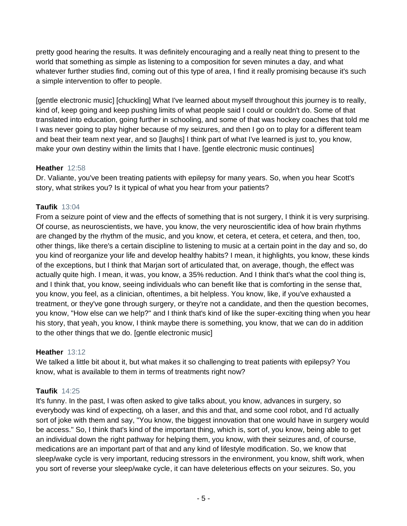pretty good hearing the results. It was definitely encouraging and a really neat thing to present to the world that something as simple as listening to a composition for seven minutes a day, and what whatever further studies find, coming out of this type of area, I find it really promising because it's such a simple intervention to offer to people.

[gentle electronic music] [chuckling] What I've learned about myself throughout this journey is to really, kind of, keep going and keep pushing limits of what people said I could or couldn't do. Some of that translated into education, going further in schooling, and some of that was hockey coaches that told me I was never going to play higher because of my seizures, and then I go on to play for a different team and beat their team next year, and so [laughs] I think part of what I've learned is just to, you know, make your own destiny within the limits that I have. [gentle electronic music continues]

# **Heather** 12:58

Dr. Valiante, you've been treating patients with epilepsy for many years. So, when you hear Scott's story, what strikes you? Is it typical of what you hear from your patients?

# **Taufik** 13:04

From a seizure point of view and the effects of something that is not surgery, I think it is very surprising. Of course, as neuroscientists, we have, you know, the very neuroscientific idea of how brain rhythms are changed by the rhythm of the music, and you know, et cetera, et cetera, et cetera, and then, too, other things, like there's a certain discipline to listening to music at a certain point in the day and so, do you kind of reorganize your life and develop healthy habits? I mean, it highlights, you know, these kinds of the exceptions, but I think that Marjan sort of articulated that, on average, though, the effect was actually quite high. I mean, it was, you know, a 35% reduction. And I think that's what the cool thing is, and I think that, you know, seeing individuals who can benefit like that is comforting in the sense that, you know, you feel, as a clinician, oftentimes, a bit helpless. You know, like, if you've exhausted a treatment, or they've gone through surgery, or they're not a candidate, and then the question becomes, you know, "How else can we help?" and I think that's kind of like the super-exciting thing when you hear his story, that yeah, you know, I think maybe there is something, you know, that we can do in addition to the other things that we do. [gentle electronic music]

# **Heather** 13:12

We talked a little bit about it, but what makes it so challenging to treat patients with epilepsy? You know, what is available to them in terms of treatments right now?

# **Taufik** 14:25

It's funny. In the past, I was often asked to give talks about, you know, advances in surgery, so everybody was kind of expecting, oh a laser, and this and that, and some cool robot, and I'd actually sort of joke with them and say, "You know, the biggest innovation that one would have in surgery would be access." So, I think that's kind of the important thing, which is, sort of, you know, being able to get an individual down the right pathway for helping them, you know, with their seizures and, of course, medications are an important part of that and any kind of lifestyle modification. So, we know that sleep/wake cycle is very important, reducing stressors in the environment, you know, shift work, when you sort of reverse your sleep/wake cycle, it can have deleterious effects on your seizures. So, you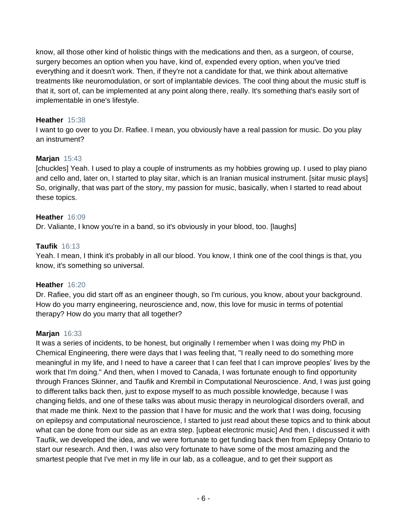know, all those other kind of holistic things with the medications and then, as a surgeon, of course, surgery becomes an option when you have, kind of, expended every option, when you've tried everything and it doesn't work. Then, if they're not a candidate for that, we think about alternative treatments like neuromodulation, or sort of implantable devices. The cool thing about the music stuff is that it, sort of, can be implemented at any point along there, really. It's something that's easily sort of implementable in one's lifestyle.

# **Heather** 15:38

I want to go over to you Dr. Rafiee. I mean, you obviously have a real passion for music. Do you play an instrument?

# **Marjan** 15:43

[chuckles] Yeah. I used to play a couple of instruments as my hobbies growing up. I used to play piano and cello and, later on, I started to play sitar, which is an Iranian musical instrument. [sitar music plays] So, originally, that was part of the story, my passion for music, basically, when I started to read about these topics.

# **Heather** 16:09

Dr. Valiante, I know you're in a band, so it's obviously in your blood, too. [laughs]

# **Taufik** 16:13

Yeah. I mean, I think it's probably in all our blood. You know, I think one of the cool things is that, you know, it's something so universal.

#### **Heather** 16:20

Dr. Rafiee, you did start off as an engineer though, so I'm curious, you know, about your background. How do you marry engineering, neuroscience and, now, this love for music in terms of potential therapy? How do you marry that all together?

#### **Marjan** 16:33

It was a series of incidents, to be honest, but originally I remember when I was doing my PhD in Chemical Engineering, there were days that I was feeling that, "I really need to do something more meaningful in my life, and I need to have a career that I can feel that I can improve peoples' lives by the work that I'm doing." And then, when I moved to Canada, I was fortunate enough to find opportunity through Frances Skinner, and Taufik and Krembil in Computational Neuroscience. And, I was just going to different talks back then, just to expose myself to as much possible knowledge, because I was changing fields, and one of these talks was about music therapy in neurological disorders overall, and that made me think. Next to the passion that I have for music and the work that I was doing, focusing on epilepsy and computational neuroscience, I started to just read about these topics and to think about what can be done from our side as an extra step. [upbeat electronic music] And then, I discussed it with Taufik, we developed the idea, and we were fortunate to get funding back then from Epilepsy Ontario to start our research. And then, I was also very fortunate to have some of the most amazing and the smartest people that I've met in my life in our lab, as a colleague, and to get their support as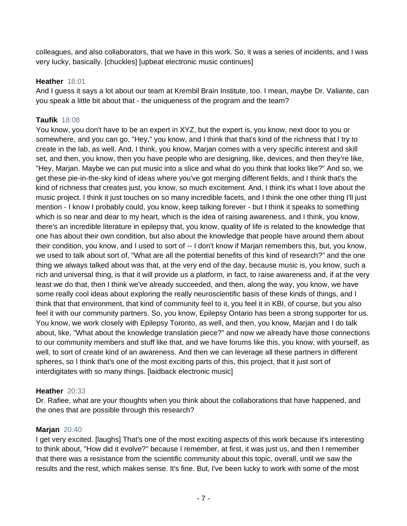colleagues, and also collaborators, that we have in this work. So, it was a series of incidents, and I was very lucky, basically. [chuckles] [upbeat electronic music continues]

# **Heather** 18:01

And I guess it says a lot about our team at Krembil Brain Institute, too. I mean, maybe Dr. Valiante, can you speak a little bit about that - the uniqueness of the program and the team?

# **Taufik** 18:08

You know, you don't have to be an expert in XYZ, but the expert is, you know, next door to you or somewhere, and you can go, "Hey," you know, and I think that that's kind of the richness that I try to create in the lab, as well. And, I think, you know, Marjan comes with a very specific interest and skill set, and then, you know, then you have people who are designing, like, devices, and then they're like, "Hey, Marjan. Maybe we can put music into a slice and what do you think that looks like?" And so, we get these pie-in-the-sky kind of ideas where you've got merging different fields, and I think that's the kind of richness that creates just, you know, so much excitement. And, I think it's what I love about the music project. I think it just touches on so many incredible facets, and I think the one other thing I'll just mention - I know I probably could, you know, keep talking forever - but I think it speaks to something which is so near and dear to my heart, which is the idea of raising awareness, and I think, you know, there's an incredible literature in epilepsy that, you know, quality of life is related to the knowledge that one has about their own condition, but also about the knowledge that people have around them about their condition, you know, and I used to sort of -- I don't know if Marjan remembers this, but, you know, we used to talk about sort of, "What are all the potential benefits of this kind of research?" and the one thing we always talked about was that, at the very end of the day, because music is, you know, such a rich and universal thing, is that it will provide us a platform, in fact, to raise awareness and, if at the very least we do that, then I think we've already succeeded, and then, along the way, you know, we have some really cool ideas about exploring the really neuroscientific basis of these kinds of things, and I think that that environment, that kind of community feel to it, you feel it in KBI, of course, but you also feel it with our community partners. So, you know, Epilepsy Ontario has been a strong supporter for us. You know, we work closely with Epilepsy Toronto, as well, and then, you know, Marjan and I do talk about, like, "What about the knowledge translation piece?" and now we already have those connections to our community members and stuff like that, and we have forums like this, you know, with yourself, as well, to sort of create kind of an awareness. And then we can leverage all these partners in different spheres, so I think that's one of the most exciting parts of this, this project, that it just sort of interdigitates with so many things. [laidback electronic music]

# **Heather** 20:33

Dr. Rafiee, what are your thoughts when you think about the collaborations that have happened, and the ones that are possible through this research?

# **Marjan** 20:40

I get very excited. [laughs] That's one of the most exciting aspects of this work because it's interesting to think about, "How did it evolve?" because I remember, at first, it was just us, and then I remember that there was a resistance from the scientific community about this topic, overall, until we saw the results and the rest, which makes sense. It's fine. But, I've been lucky to work with some of the most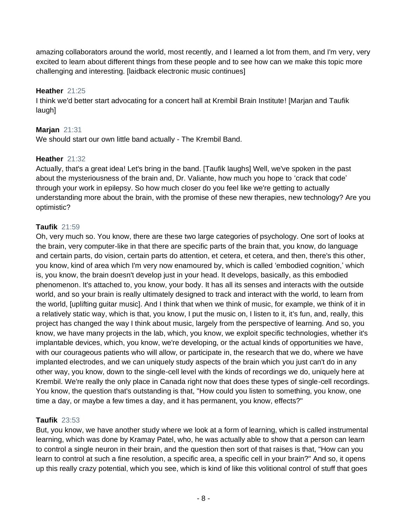amazing collaborators around the world, most recently, and I learned a lot from them, and I'm very, very excited to learn about different things from these people and to see how can we make this topic more challenging and interesting. [laidback electronic music continues]

# **Heather** 21:25

I think we'd better start advocating for a concert hall at Krembil Brain Institute! [Marjan and Taufik laugh]

# **Marjan** 21:31

We should start our own little band actually - The Krembil Band.

# **Heather** 21:32

Actually, that's a great idea! Let's bring in the band. [Taufik laughs] Well, we've spoken in the past about the mysteriousness of the brain and, Dr. Valiante, how much you hope to 'crack that code' through your work in epilepsy. So how much closer do you feel like we're getting to actually understanding more about the brain, with the promise of these new therapies, new technology? Are you optimistic?

# **Taufik** 21:59

Oh, very much so. You know, there are these two large categories of psychology. One sort of looks at the brain, very computer-like in that there are specific parts of the brain that, you know, do language and certain parts, do vision, certain parts do attention, et cetera, et cetera, and then, there's this other, you know, kind of area which I'm very now enamoured by, which is called 'embodied cognition,' which is, you know, the brain doesn't develop just in your head. It develops, basically, as this embodied phenomenon. It's attached to, you know, your body. It has all its senses and interacts with the outside world, and so your brain is really ultimately designed to track and interact with the world, to learn from the world, [uplifting guitar music]. And I think that when we think of music, for example, we think of it in a relatively static way, which is that, you know, I put the music on, I listen to it, it's fun, and, really, this project has changed the way I think about music, largely from the perspective of learning. And so, you know, we have many projects in the lab, which, you know, we exploit specific technologies, whether it's implantable devices, which, you know, we're developing, or the actual kinds of opportunities we have, with our courageous patients who will allow, or participate in, the research that we do, where we have implanted electrodes, and we can uniquely study aspects of the brain which you just can't do in any other way, you know, down to the single-cell level with the kinds of recordings we do, uniquely here at Krembil. We're really the only place in Canada right now that does these types of single-cell recordings. You know, the question that's outstanding is that, "How could you listen to something, you know, one time a day, or maybe a few times a day, and it has permanent, you know, effects?"

#### **Taufik** 23:53

But, you know, we have another study where we look at a form of learning, which is called instrumental learning, which was done by Kramay Patel, who, he was actually able to show that a person can learn to control a single neuron in their brain, and the question then sort of that raises is that, "How can you learn to control at such a fine resolution, a specific area, a specific cell in your brain?" And so, it opens up this really crazy potential, which you see, which is kind of like this volitional control of stuff that goes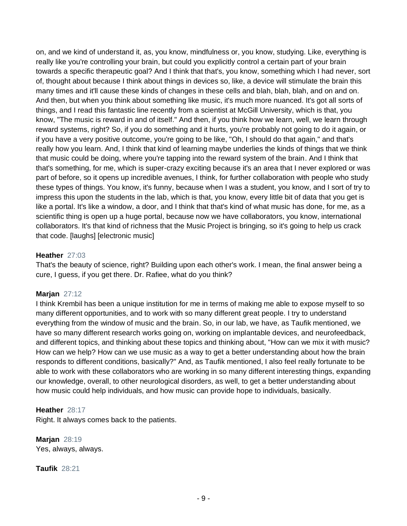on, and we kind of understand it, as, you know, mindfulness or, you know, studying. Like, everything is really like you're controlling your brain, but could you explicitly control a certain part of your brain towards a specific therapeutic goal? And I think that that's, you know, something which I had never, sort of, thought about because I think about things in devices so, like, a device will stimulate the brain this many times and it'll cause these kinds of changes in these cells and blah, blah, blah, and on and on. And then, but when you think about something like music, it's much more nuanced. It's got all sorts of things, and I read this fantastic line recently from a scientist at McGill University, which is that, you know, "The music is reward in and of itself." And then, if you think how we learn, well, we learn through reward systems, right? So, if you do something and it hurts, you're probably not going to do it again, or if you have a very positive outcome, you're going to be like, "Oh, I should do that again," and that's really how you learn. And, I think that kind of learning maybe underlies the kinds of things that we think that music could be doing, where you're tapping into the reward system of the brain. And I think that that's something, for me, which is super-crazy exciting because it's an area that I never explored or was part of before, so it opens up incredible avenues, I think, for further collaboration with people who study these types of things. You know, it's funny, because when I was a student, you know, and I sort of try to impress this upon the students in the lab, which is that, you know, every little bit of data that you get is like a portal. It's like a window, a door, and I think that that's kind of what music has done, for me, as a scientific thing is open up a huge portal, because now we have collaborators, you know, international collaborators. It's that kind of richness that the Music Project is bringing, so it's going to help us crack that code. [laughs] [electronic music]

#### **Heather** 27:03

That's the beauty of science, right? Building upon each other's work. I mean, the final answer being a cure, I guess, if you get there. Dr. Rafiee, what do you think?

#### **Marjan** 27:12

I think Krembil has been a unique institution for me in terms of making me able to expose myself to so many different opportunities, and to work with so many different great people. I try to understand everything from the window of music and the brain. So, in our lab, we have, as Taufik mentioned, we have so many different research works going on, working on implantable devices, and neurofeedback, and different topics, and thinking about these topics and thinking about, "How can we mix it with music? How can we help? How can we use music as a way to get a better understanding about how the brain responds to different conditions, basically?" And, as Taufik mentioned, I also feel really fortunate to be able to work with these collaborators who are working in so many different interesting things, expanding our knowledge, overall, to other neurological disorders, as well, to get a better understanding about how music could help individuals, and how music can provide hope to individuals, basically.

#### **Heather** 28:17

Right. It always comes back to the patients.

**Marjan** 28:19 Yes, always, always.

**Taufik** 28:21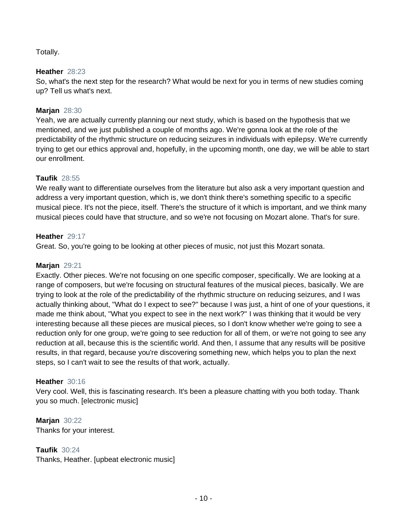# Totally.

# **Heather** 28:23

So, what's the next step for the research? What would be next for you in terms of new studies coming up? Tell us what's next.

#### **Marjan** 28:30

Yeah, we are actually currently planning our next study, which is based on the hypothesis that we mentioned, and we just published a couple of months ago. We're gonna look at the role of the predictability of the rhythmic structure on reducing seizures in individuals with epilepsy. We're currently trying to get our ethics approval and, hopefully, in the upcoming month, one day, we will be able to start our enrollment.

# **Taufik** 28:55

We really want to differentiate ourselves from the literature but also ask a very important question and address a very important question, which is, we don't think there's something specific to a specific musical piece. It's not the piece, itself. There's the structure of it which is important, and we think many musical pieces could have that structure, and so we're not focusing on Mozart alone. That's for sure.

# **Heather** 29:17

Great. So, you're going to be looking at other pieces of music, not just this Mozart sonata.

#### **Marjan** 29:21

Exactly. Other pieces. We're not focusing on one specific composer, specifically. We are looking at a range of composers, but we're focusing on structural features of the musical pieces, basically. We are trying to look at the role of the predictability of the rhythmic structure on reducing seizures, and I was actually thinking about, "What do I expect to see?" because I was just, a hint of one of your questions, it made me think about, "What you expect to see in the next work?" I was thinking that it would be very interesting because all these pieces are musical pieces, so I don't know whether we're going to see a reduction only for one group, we're going to see reduction for all of them, or we're not going to see any reduction at all, because this is the scientific world. And then, I assume that any results will be positive results, in that regard, because you're discovering something new, which helps you to plan the next steps, so I can't wait to see the results of that work, actually.

#### **Heather** 30:16

Very cool. Well, this is fascinating research. It's been a pleasure chatting with you both today. Thank you so much. [electronic music]

**Marjan** 30:22 Thanks for your interest.

**Taufik** 30:24 Thanks, Heather. [upbeat electronic music]